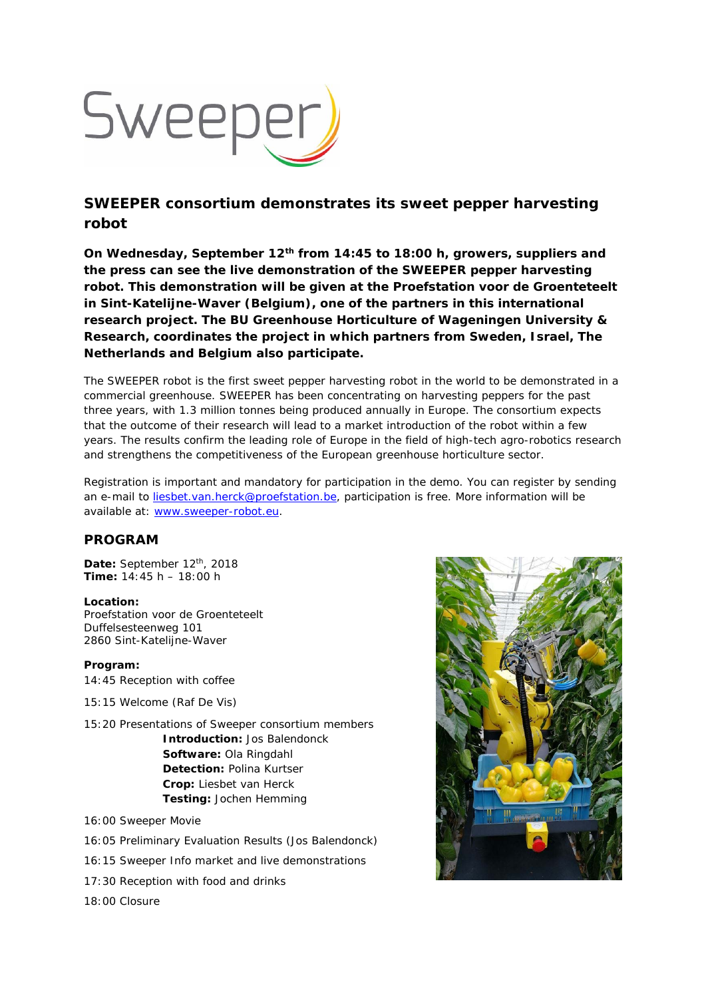

## **SWEEPER consortium demonstrates its sweet pepper harvesting robot**

**On Wednesday, September 12th from 14:45 to 18:00 h, growers, suppliers and the press can see the live demonstration of the SWEEPER pepper harvesting robot. This demonstration will be given at the Proefstation voor de Groenteteelt in Sint-Katelijne-Waver (Belgium), one of the partners in this international research project. The BU Greenhouse Horticulture of Wageningen University & Research, coordinates the project in which partners from Sweden, Israel, The Netherlands and Belgium also participate.** 

The SWEEPER robot is the first sweet pepper harvesting robot in the world to be demonstrated in a commercial greenhouse. SWEEPER has been concentrating on harvesting peppers for the past three years, with 1.3 million tonnes being produced annually in Europe. The consortium expects that the outcome of their research will lead to a market introduction of the robot within a few years. The results confirm the leading role of Europe in the field of high-tech agro-robotics research and strengthens the competitiveness of the European greenhouse horticulture sector.

Registration is important and mandatory for participation in the demo. You can register by sending an e-mail to liesbet.van.herck@proefstation.be, participation is free. More information will be available at: www.sweeper-robot.eu.

## **PROGRAM**

Date: September 12<sup>th</sup>, 2018 **Time:** 14:45 h – 18:00 h

## **Location:**

Proefstation voor de Groenteteelt Duffelsesteenweg 101 2860 Sint-Katelijne-Waver

**Program:**  14:45 Reception with coffee

15:15 Welcome (Raf De Vis)

15:20 Presentations of Sweeper consortium members **Introduction:** Jos Balendonck **Software:** Ola Ringdahl **Detection:** Polina Kurtser **Crop:** Liesbet van Herck **Testing:** Jochen Hemming

16:00 Sweeper Movie

- 16:05 Preliminary Evaluation Results (Jos Balendonck)
- 16:15 Sweeper Info market and live demonstrations
- 17:30 Reception with food and drinks

18:00 Closure